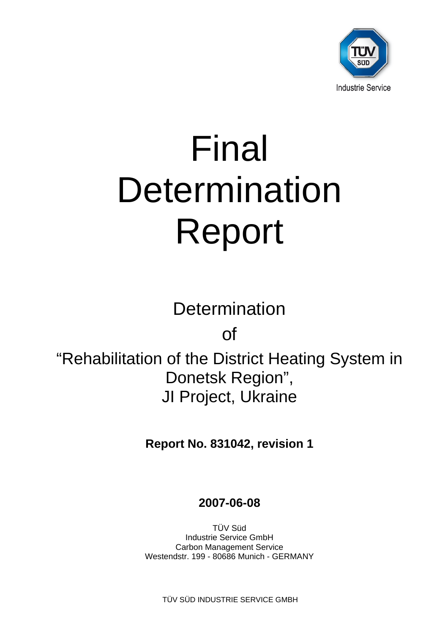

# Final **Determination** Report

**Determination** 

of

"Rehabilitation of the District Heating System in Donetsk Region", JI Project, Ukraine

**Report No. 831042, revision 1** 

# **2007-06-08**

TÜV Süd Industrie Service GmbH Carbon Management Service Westendstr. 199 - 80686 Munich - GERMANY

TÜV SÜD INDUSTRIE SERVICE GMBH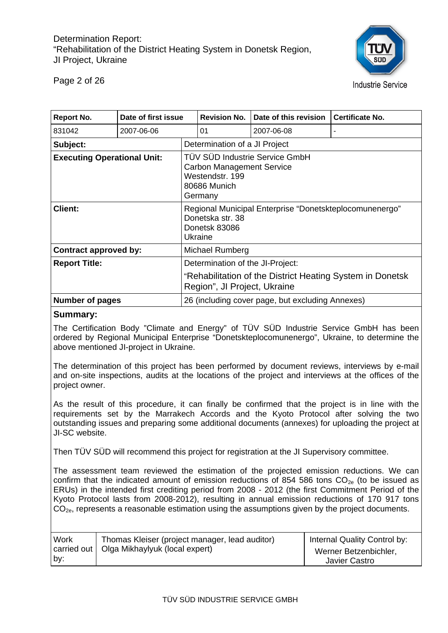

Page 2 of 26

| <b>Report No.</b>                  | Date of first issue |                                                                                                                  | <b>Revision No.</b>           | Date of this revision | <b>Certificate No.</b>                                    |  |  |
|------------------------------------|---------------------|------------------------------------------------------------------------------------------------------------------|-------------------------------|-----------------------|-----------------------------------------------------------|--|--|
| 831042                             | 2007-06-06          |                                                                                                                  | 01                            | 2007-06-08            | ۰                                                         |  |  |
| Subject:                           |                     |                                                                                                                  | Determination of a JI Project |                       |                                                           |  |  |
| <b>Executing Operational Unit:</b> |                     | TÜV SÜD Industrie Service GmbH<br><b>Carbon Management Service</b><br>Westendstr, 199<br>80686 Munich<br>Germany |                               |                       |                                                           |  |  |
| <b>Client:</b>                     |                     | Regional Municipal Enterprise "Donetskteplocomunenergo"<br>Donetska str. 38<br>Donetsk 83086<br>Ukraine          |                               |                       |                                                           |  |  |
| Contract approved by:              |                     | Michael Rumberg                                                                                                  |                               |                       |                                                           |  |  |
| <b>Report Title:</b>               |                     | Determination of the JI-Project:                                                                                 |                               |                       |                                                           |  |  |
|                                    |                     |                                                                                                                  | Region", JI Project, Ukraine  |                       | "Rehabilitation of the District Heating System in Donetsk |  |  |
| <b>Number of pages</b>             |                     | 26 (including cover page, but excluding Annexes)                                                                 |                               |                       |                                                           |  |  |

#### **Summary:**

The Certification Body "Climate and Energy" of TÜV SÜD Industrie Service GmbH has been ordered by Regional Municipal Enterprise "Donetskteplocomunenergo", Ukraine, to determine the above mentioned JI-project in Ukraine.

The determination of this project has been performed by document reviews, interviews by e-mail and on-site inspections, audits at the locations of the project and interviews at the offices of the project owner.

As the result of this procedure, it can finally be confirmed that the project is in line with the requirements set by the Marrakech Accords and the Kyoto Protocol after solving the two outstanding issues and preparing some additional documents (annexes) for uploading the project at JI-SC website.

Then TÜV SÜD will recommend this project for registration at the JI Supervisory committee.

The assessment team reviewed the estimation of the projected emission reductions. We can confirm that the indicated amount of emission reductions of 854 586 tons  $CO<sub>2e</sub>$  (to be issued as ERUs) in the intended first crediting period from 2008 - 2012 (the first Commitment Period of the Kyoto Protocol lasts from 2008-2012), resulting in annual emission reductions of 170 917 tons  $CO<sub>2e</sub>$ , represents a reasonable estimation using the assumptions given by the project documents.

| Work<br>Thomas Kleiser (project manager, lead auditor)<br>carried out   Olga Mikhaylyuk (local expert)<br>by. | Internal Quality Control by:<br>Werner Betzenbichler,<br>Javier Castro |
|---------------------------------------------------------------------------------------------------------------|------------------------------------------------------------------------|
|---------------------------------------------------------------------------------------------------------------|------------------------------------------------------------------------|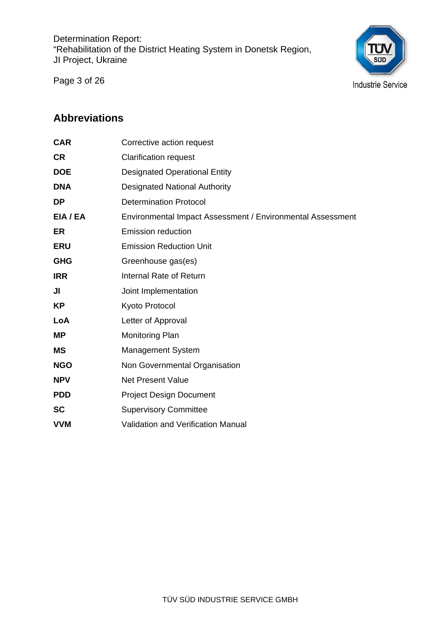Page 3 of 26



## **Abbreviations**

| <b>CAR</b> | Corrective action request                                  |
|------------|------------------------------------------------------------|
| <b>CR</b>  | <b>Clarification request</b>                               |
| <b>DOE</b> | <b>Designated Operational Entity</b>                       |
| <b>DNA</b> | <b>Designated National Authority</b>                       |
| <b>DP</b>  | <b>Determination Protocol</b>                              |
| EIA / EA   | Environmental Impact Assessment / Environmental Assessment |
| ER.        | <b>Emission reduction</b>                                  |
| <b>ERU</b> | <b>Emission Reduction Unit</b>                             |
| <b>GHG</b> | Greenhouse gas(es)                                         |
| <b>IRR</b> | Internal Rate of Return                                    |
| JI         | Joint Implementation                                       |
| KP         | Kyoto Protocol                                             |
| LoA        | Letter of Approval                                         |
| <b>MP</b>  | <b>Monitoring Plan</b>                                     |
| <b>MS</b>  | <b>Management System</b>                                   |
| <b>NGO</b> | Non Governmental Organisation                              |
| <b>NPV</b> | <b>Net Present Value</b>                                   |
| <b>PDD</b> | <b>Project Design Document</b>                             |
| <b>SC</b>  | <b>Supervisory Committee</b>                               |
| <b>VVM</b> | <b>Validation and Verification Manual</b>                  |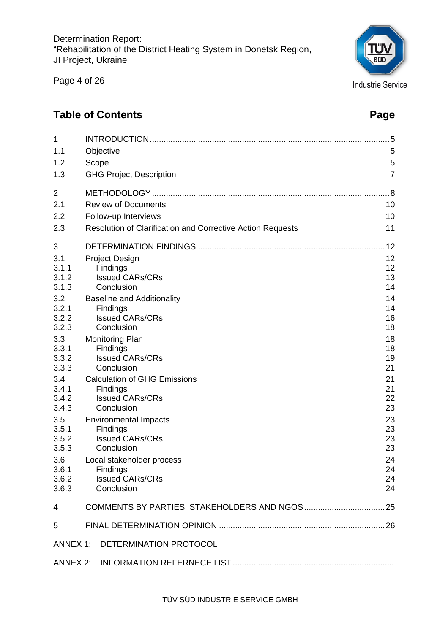Page 4 of 26

## **Table of Contents Page 2018**

| 1              |                                                            | 5              |
|----------------|------------------------------------------------------------|----------------|
| 1.1            | Objective                                                  | 5              |
| 1.2            | Scope                                                      | 5              |
| 1.3            | <b>GHG Project Description</b>                             | $\overline{7}$ |
| $\overline{2}$ |                                                            | 8              |
| 2.1            | <b>Review of Documents</b>                                 | 10             |
| 2.2            | Follow-up Interviews                                       | 10             |
| 2.3            | Resolution of Clarification and Corrective Action Requests | 11             |
| 3              |                                                            | 12             |
| 3.1            | <b>Project Design</b>                                      | 12             |
| 3.1.1          | Findings                                                   | 12             |
| 3.1.2          | <b>Issued CARs/CRs</b>                                     | 13             |
| 3.1.3          | Conclusion                                                 | 14             |
| 3.2            | <b>Baseline and Additionality</b>                          | 14             |
| 3.2.1          | Findings                                                   | 14             |
| 3.2.2          | <b>Issued CARs/CRs</b>                                     | 16             |
| 3.2.3          | Conclusion                                                 | 18             |
| 3.3            | <b>Monitoring Plan</b>                                     | 18             |
| 3.3.1          | Findings                                                   | 18             |
| 3.3.2          | <b>Issued CARs/CRs</b>                                     | 19             |
| 3.3.3          | Conclusion                                                 | 21             |
| 3.4            | <b>Calculation of GHG Emissions</b>                        | 21             |
| 3.4.1          | Findings                                                   | 21             |
| 3.4.2          | <b>Issued CARs/CRs</b>                                     | 22             |
| 3.4.3          | Conclusion                                                 | 23             |
| 3.5            | <b>Environmental Impacts</b>                               | 23             |
| 3.5.1          | Findings                                                   | 23             |
| 3.5.2          | <b>Issued CARs/CRs</b>                                     | 23             |
| 3.5.3          | Conclusion                                                 | 23             |
| 3.6            | Local stakeholder process                                  | 24             |
| 3.6.1          | Findings                                                   | 24             |
| 3.6.2          | <b>Issued CARs/CRs</b>                                     | 24             |
| 3.6.3          | Conclusion                                                 | 24             |
| 4              |                                                            |                |
| 5              |                                                            |                |
| ANNEX 1:       | DETERMINATION PROTOCOL                                     |                |
| ANNEX 2:       |                                                            |                |

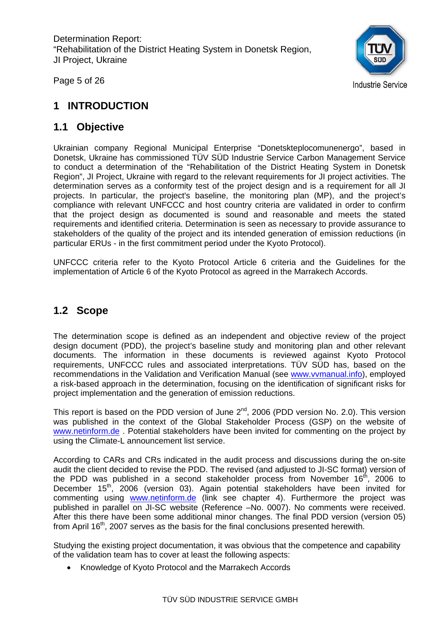Page 5 of 26



## **1 INTRODUCTION**

## **1.1 Objective**

Ukrainian company Regional Municipal Enterprise "Donetskteplocomunenergo", based in Donetsk, Ukraine has commissioned TÜV SÜD Industrie Service Carbon Management Service to conduct a determination of the "Rehabilitation of the District Heating System in Donetsk Region", JI Project, Ukraine with regard to the relevant requirements for JI project activities. The determination serves as a conformity test of the project design and is a requirement for all JI projects. In particular, the project's baseline, the monitoring plan (MP), and the project's compliance with relevant UNFCCC and host country criteria are validated in order to confirm that the project design as documented is sound and reasonable and meets the stated requirements and identified criteria. Determination is seen as necessary to provide assurance to stakeholders of the quality of the project and its intended generation of emission reductions (in particular ERUs - in the first commitment period under the Kyoto Protocol).

UNFCCC criteria refer to the Kyoto Protocol Article 6 criteria and the Guidelines for the implementation of Article 6 of the Kyoto Protocol as agreed in the Marrakech Accords.

## **1.2 Scope**

The determination scope is defined as an independent and objective review of the project design document (PDD), the project's baseline study and monitoring plan and other relevant documents. The information in these documents is reviewed against Kyoto Protocol requirements, UNFCCC rules and associated interpretations. TÜV SÜD has, based on the recommendations in the Validation and Verification Manual (see www.vvmanual.info), employed a risk-based approach in the determination, focusing on the identification of significant risks for project implementation and the generation of emission reductions.

This report is based on the PDD version of June  $2^{nd}$ , 2006 (PDD version No. 2.0). This version was published in the context of the Global Stakeholder Process (GSP) on the website of www.netinform.de. Potential stakeholders have been invited for commenting on the project by using the Climate-L announcement list service.

According to CARs and CRs indicated in the audit process and discussions during the on-site audit the client decided to revise the PDD. The revised (and adjusted to JI-SC format) version of the PDD was published in a second stakeholder process from November  $16<sup>th</sup>$ , 2006 to December 15<sup>th</sup>, 2006 (version 03). Again potential stakeholders have been invited for commenting using www.netinform.de (link see chapter 4). Furthermore the project was published in parallel on JI-SC website (Reference –No. 0007). No comments were received. After this there have been some additional minor changes. The final PDD version (version 05) from April 16<sup>th</sup>, 2007 serves as the basis for the final conclusions presented herewith.

Studying the existing project documentation, it was obvious that the competence and capability of the validation team has to cover at least the following aspects:

• Knowledge of Kyoto Protocol and the Marrakech Accords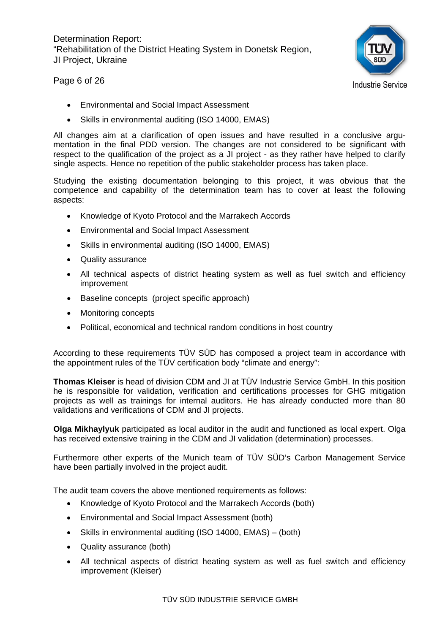

Page 6 of 26

- Environmental and Social Impact Assessment
- Skills in environmental auditing (ISO 14000, EMAS)

All changes aim at a clarification of open issues and have resulted in a conclusive argumentation in the final PDD version. The changes are not considered to be significant with respect to the qualification of the project as a JI project - as they rather have helped to clarify single aspects. Hence no repetition of the public stakeholder process has taken place.

Studying the existing documentation belonging to this project, it was obvious that the competence and capability of the determination team has to cover at least the following aspects:

- Knowledge of Kyoto Protocol and the Marrakech Accords
- Environmental and Social Impact Assessment
- Skills in environmental auditing (ISO 14000, EMAS)
- Quality assurance
- All technical aspects of district heating system as well as fuel switch and efficiency improvement
- Baseline concepts (project specific approach)
- Monitoring concepts
- Political, economical and technical random conditions in host country

According to these requirements TÜV SÜD has composed a project team in accordance with the appointment rules of the TÜV certification body "climate and energy":

**Thomas Kleiser** is head of division CDM and JI at TÜV Industrie Service GmbH. In this position he is responsible for validation, verification and certifications processes for GHG mitigation projects as well as trainings for internal auditors. He has already conducted more than 80 validations and verifications of CDM and JI projects.

**Olga Mikhaylyuk** participated as local auditor in the audit and functioned as local expert. Olga has received extensive training in the CDM and JI validation (determination) processes.

Furthermore other experts of the Munich team of TÜV SÜD's Carbon Management Service have been partially involved in the project audit.

The audit team covers the above mentioned requirements as follows:

- Knowledge of Kyoto Protocol and the Marrakech Accords (both)
- Environmental and Social Impact Assessment (both)
- Skills in environmental auditing (ISO 14000, EMAS) (both)
- Quality assurance (both)
- All technical aspects of district heating system as well as fuel switch and efficiency improvement (Kleiser)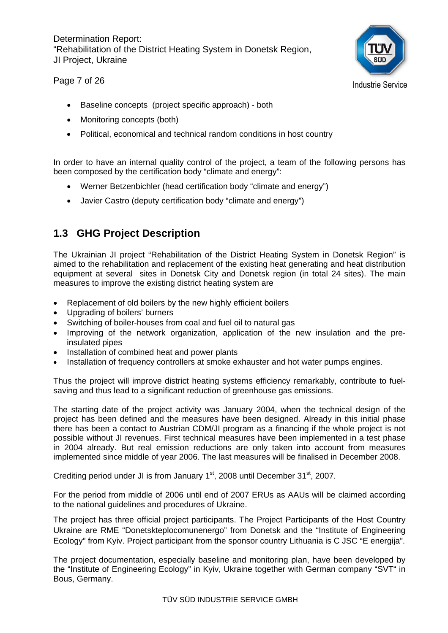#### Page 7 of 26



- Baseline concepts (project specific approach) both
- Monitoring concepts (both)
- Political, economical and technical random conditions in host country

In order to have an internal quality control of the project, a team of the following persons has been composed by the certification body "climate and energy":

- Werner Betzenbichler (head certification body "climate and energy")
- Javier Castro (deputy certification body "climate and energy")

## **1.3 GHG Project Description**

The Ukrainian JI project "Rehabilitation of the District Heating System in Donetsk Region" is aimed to the rehabilitation and replacement of the existing heat generating and heat distribution equipment at several sites in Donetsk City and Donetsk region (in total 24 sites). The main measures to improve the existing district heating system are

- Replacement of old boilers by the new highly efficient boilers
- Upgrading of boilers' burners
- Switching of boiler-houses from coal and fuel oil to natural gas
- Improving of the network organization, application of the new insulation and the preinsulated pipes
- Installation of combined heat and power plants
- Installation of frequency controllers at smoke exhauster and hot water pumps engines.

Thus the project will improve district heating systems efficiency remarkably, contribute to fuelsaving and thus lead to a significant reduction of greenhouse gas emissions.

The starting date of the project activity was January 2004, when the technical design of the project has been defined and the measures have been designed. Already in this initial phase there has been a contact to Austrian CDM/JI program as a financing if the whole project is not possible without JI revenues. First technical measures have been implemented in a test phase in 2004 already. But real emission reductions are only taken into account from measures implemented since middle of year 2006. The last measures will be finalised in December 2008.

Crediting period under JI is from January 1<sup>st</sup>, 2008 until December 31<sup>st</sup>, 2007.

For the period from middle of 2006 until end of 2007 ERUs as AAUs will be claimed according to the national guidelines and procedures of Ukraine.

The project has three official project participants. The Project Participants of the Host Country Ukraine are RME "Donetskteplocomunenergo" from Donetsk and the "Institute of Engineering Ecology" from Kyiv. Project participant from the sponsor country Lithuania is C JSC "E energija".

The project documentation, especially baseline and monitoring plan, have been developed by the "Institute of Engineering Ecology" in Kyiv, Ukraine together with German company "SVT" in Bous, Germany.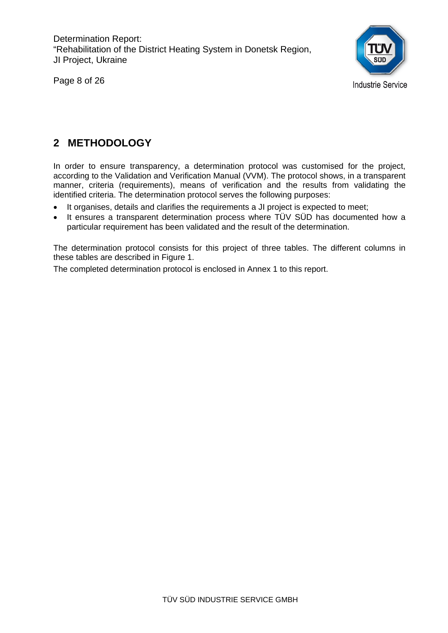Page 8 of 26



## **2 METHODOLOGY**

In order to ensure transparency, a determination protocol was customised for the project, according to the Validation and Verification Manual (VVM). The protocol shows, in a transparent manner, criteria (requirements), means of verification and the results from validating the identified criteria. The determination protocol serves the following purposes:

- It organises, details and clarifies the requirements a JI project is expected to meet;
- It ensures a transparent determination process where TÜV SÜD has documented how a particular requirement has been validated and the result of the determination.

The determination protocol consists for this project of three tables. The different columns in these tables are described in Figure 1.

The completed determination protocol is enclosed in Annex 1 to this report.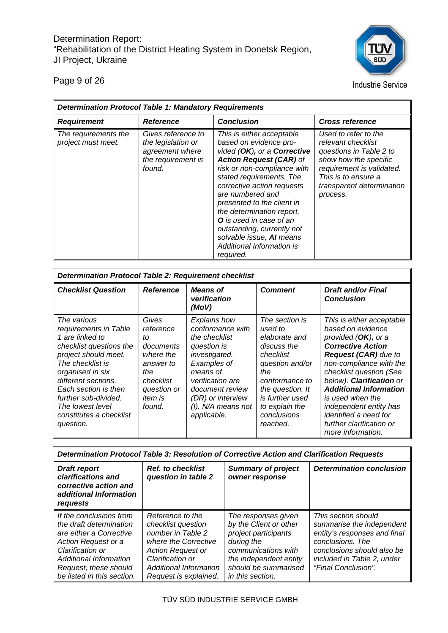Page 9 of 26



**Industrie Service** 

| <b>Determination Protocol Table 1: Mandatory Requirements</b> |                                                                                             |                                                                                                                                                                                                                                                                                                                                                                                                                                    |                                                                                                                                                                                             |
|---------------------------------------------------------------|---------------------------------------------------------------------------------------------|------------------------------------------------------------------------------------------------------------------------------------------------------------------------------------------------------------------------------------------------------------------------------------------------------------------------------------------------------------------------------------------------------------------------------------|---------------------------------------------------------------------------------------------------------------------------------------------------------------------------------------------|
| <b>Requirement</b>                                            | <b>Reference</b>                                                                            | <b>Conclusion</b>                                                                                                                                                                                                                                                                                                                                                                                                                  | <b>Cross reference</b>                                                                                                                                                                      |
| The requirements the<br>project must meet.                    | Gives reference to<br>the legislation or<br>agreement where<br>the requirement is<br>found. | This is either acceptable<br>based on evidence pro-<br>vided (OK), or a Corrective<br><b>Action Request (CAR) of</b><br>risk or non-compliance with<br>stated requirements. The<br>corrective action requests<br>are numbered and<br>presented to the client in<br>the determination report.<br><b>O</b> is used in case of an<br>outstanding, currently not<br>solvable issue, AI means<br>Additional Information is<br>required. | Used to refer to the<br>relevant checklist<br>questions in Table 2 to<br>show how the specific<br>requirement is validated.<br>This is to ensure a<br>transparent determination<br>process. |

| <b>Determination Protocol Table 2: Requirement checklist</b>                                                                                                                                                                                                                          |                                                                                                                                |                                                                                                                                                                                                                         |                                                                                                                                                                                                        |                                                                                                                                                                                                                                                                                                                                                                                       |
|---------------------------------------------------------------------------------------------------------------------------------------------------------------------------------------------------------------------------------------------------------------------------------------|--------------------------------------------------------------------------------------------------------------------------------|-------------------------------------------------------------------------------------------------------------------------------------------------------------------------------------------------------------------------|--------------------------------------------------------------------------------------------------------------------------------------------------------------------------------------------------------|---------------------------------------------------------------------------------------------------------------------------------------------------------------------------------------------------------------------------------------------------------------------------------------------------------------------------------------------------------------------------------------|
| <b>Checklist Question</b>                                                                                                                                                                                                                                                             | <b>Reference</b>                                                                                                               | <b>Means of</b><br>verification<br>(MoV)                                                                                                                                                                                | <b>Comment</b>                                                                                                                                                                                         | <b>Draft and/or Final</b><br><b>Conclusion</b>                                                                                                                                                                                                                                                                                                                                        |
| The various<br>requirements in Table<br>1 are linked to<br>checklist questions the<br>project should meet.<br>The checklist is<br>organised in six<br>different sections.<br>Each section is then<br>further sub-divided.<br>The lowest level<br>constitutes a checklist<br>question. | Gives<br>reference<br>tΩ<br>documents<br>where the<br>answer to<br>the<br>checklist<br>question or<br><i>item is</i><br>found. | <b>Explains how</b><br>conformance with<br>the checklist<br>question is<br>investigated.<br>Examples of<br>means of<br>verification are<br>document review<br>(DR) or interview<br>$(1)$ . N/A means not<br>applicable. | The section is<br>used to<br>elaborate and<br>discuss the<br>checklist<br>question and/or<br>the<br>conformance to<br>the question. It<br>is further used<br>to explain the<br>conclusions<br>reached. | This is either acceptable<br>based on evidence<br>provided $(OK)$ , or a<br><b>Corrective Action</b><br><b>Request (CAR)</b> due to<br>non-compliance with the<br>checklist question (See<br>below). Clarification or<br><b>Additional Information</b><br>is used when the<br>independent entity has<br><i>identified a need for</i><br>further clarification or<br>more information. |

| Determination Protocol Table 3: Resolution of Corrective Action and Clarification Requests                                                                                                                       |                                                                                                                                                                                        |                                                                                                                                                                                  |                                                                                                                                                                                         |
|------------------------------------------------------------------------------------------------------------------------------------------------------------------------------------------------------------------|----------------------------------------------------------------------------------------------------------------------------------------------------------------------------------------|----------------------------------------------------------------------------------------------------------------------------------------------------------------------------------|-----------------------------------------------------------------------------------------------------------------------------------------------------------------------------------------|
| <b>Draft report</b><br>clarifications and<br>corrective action and<br>additional Information<br>requests                                                                                                         | <b>Ref.</b> to checklist<br>question in table 2                                                                                                                                        | <b>Summary of project</b><br>owner response                                                                                                                                      | <b>Determination conclusion</b>                                                                                                                                                         |
| If the conclusions from<br>the draft determination<br>are either a Corrective<br>Action Request or a<br>Clarification or<br><b>Additional Information</b><br>Request, these should<br>be listed in this section. | Reference to the<br>checklist question<br>number in Table 2<br>where the Corrective<br><b>Action Request or</b><br>Clarification or<br>Additional Information<br>Request is explained. | The responses given<br>by the Client or other<br>project participants<br>during the<br>communications with<br>the independent entity<br>should be summarised<br>in this section. | This section should<br>summarise the independent<br>entity's responses and final<br>conclusions. The<br>conclusions should also be<br>included in Table 2, under<br>"Final Conclusion". |

TÜV SÜD INDUSTRIE SERVICE GMBH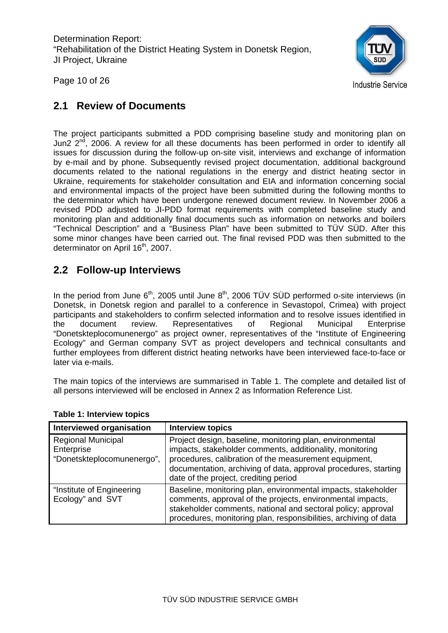

Page 10 of 26

## **2.1 Review of Documents**

The project participants submitted a PDD comprising baseline study and monitoring plan on Jun2 2<sup>nd</sup>, 2006. A review for all these documents has been performed in order to identify all issues for discussion during the follow-up on-site visit, interviews and exchange of information by e-mail and by phone. Subsequently revised project documentation, additional background documents related to the national regulations in the energy and district heating sector in Ukraine, requirements for stakeholder consultation and EIA and information concerning social and environmental impacts of the project have been submitted during the following months to the determinator which have been undergone renewed document review. In November 2006 a revised PDD adjusted to JI-PDD format requirements with completed baseline study and monitoring plan and additionally final documents such as information on networks and boilers "Technical Description" and a "Business Plan" have been submitted to TÜV SÜD. After this some minor changes have been carried out. The final revised PDD was then submitted to the determinator on April 16<sup>th</sup>, 2007.

## **2.2 Follow-up Interviews**

In the period from June  $6<sup>th</sup>$ , 2005 until June  $8<sup>th</sup>$ , 2006 TÜV SÜD performed o-site interviews (in Donetsk, in Donetsk region and parallel to a conference in Sevastopol, Crimea) with project participants and stakeholders to confirm selected information and to resolve issues identified in the document review. Representatives of Regional Municipal Enterprise "Donetskteplocomunenergo" as project owner, representatives of the "Institute of Engineering Ecology" and German company SVT as project developers and technical consultants and further employees from different district heating networks have been interviewed face-to-face or later via e-mails.

The main topics of the interviews are summarised in Table 1. The complete and detailed list of all persons interviewed will be enclosed in Annex 2 as Information Reference List.

| <b>Interviewed organisation</b>                                       | <b>Interview topics</b>                                                                                                                                                                                                                                                                   |
|-----------------------------------------------------------------------|-------------------------------------------------------------------------------------------------------------------------------------------------------------------------------------------------------------------------------------------------------------------------------------------|
| <b>Regional Municipal</b><br>Enterprise<br>"Donetskteplocomunenergo", | Project design, baseline, monitoring plan, environmental<br>impacts, stakeholder comments, additionality, monitoring<br>procedures, calibration of the measurement equipment,<br>documentation, archiving of data, approval procedures, starting<br>date of the project, crediting period |
| "Institute of Engineering<br>Ecology" and SVT                         | Baseline, monitoring plan, environmental impacts, stakeholder<br>comments, approval of the projects, environmental impacts,<br>stakeholder comments, national and sectoral policy; approval<br>procedures, monitoring plan, responsibilities, archiving of data                           |

#### **Table 1: Interview topics**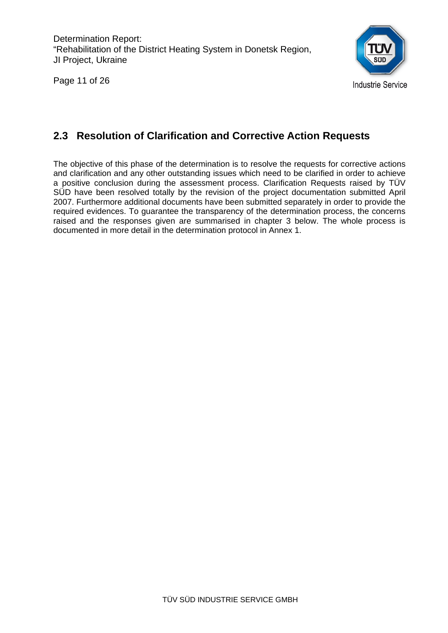Page 11 of 26



## **2.3 Resolution of Clarification and Corrective Action Requests**

The objective of this phase of the determination is to resolve the requests for corrective actions and clarification and any other outstanding issues which need to be clarified in order to achieve a positive conclusion during the assessment process. Clarification Requests raised by TÜV SÜD have been resolved totally by the revision of the project documentation submitted April 2007. Furthermore additional documents have been submitted separately in order to provide the required evidences. To guarantee the transparency of the determination process, the concerns raised and the responses given are summarised in chapter 3 below. The whole process is documented in more detail in the determination protocol in Annex 1.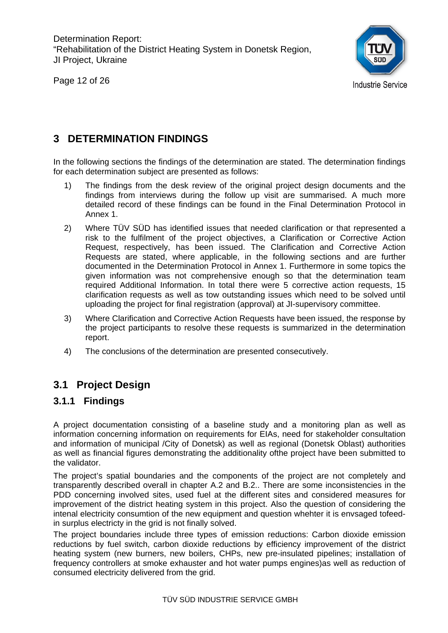Page 12 of 26



## **3 DETERMINATION FINDINGS**

In the following sections the findings of the determination are stated. The determination findings for each determination subject are presented as follows:

- 1) The findings from the desk review of the original project design documents and the findings from interviews during the follow up visit are summarised. A much more detailed record of these findings can be found in the Final Determination Protocol in Annex 1.
- 2) Where TÜV SÜD has identified issues that needed clarification or that represented a risk to the fulfilment of the project objectives, a Clarification or Corrective Action Request, respectively, has been issued. The Clarification and Corrective Action Requests are stated, where applicable, in the following sections and are further documented in the Determination Protocol in Annex 1. Furthermore in some topics the given information was not comprehensive enough so that the determination team required Additional Information. In total there were 5 corrective action requests, 15 clarification requests as well as tow outstanding issues which need to be solved until uploading the project for final registration (approval) at JI-supervisory committee.
- 3) Where Clarification and Corrective Action Requests have been issued, the response by the project participants to resolve these requests is summarized in the determination report.
- 4) The conclusions of the determination are presented consecutively.

## **3.1 Project Design**

## **3.1.1 Findings**

A project documentation consisting of a baseline study and a monitoring plan as well as information concerning information on requirements for EIAs, need for stakeholder consultation and information of municipal /City of Donetsk) as well as regional (Donetsk Oblast) authorities as well as financial figures demonstrating the additionality ofthe project have been submitted to the validator.

The project's spatial boundaries and the components of the project are not completely and transparently described overall in chapter A.2 and B.2.. There are some inconsistencies in the PDD concerning involved sites, used fuel at the different sites and considered measures for improvement of the district heating system in this project. Also the question of considering the intenal electricity consumtion of the new equipment and question whehter it is envsaged tofeedin surplus electricty in the grid is not finally solved.

The project boundaries include three types of emission reductions: Carbon dioxide emission reductions by fuel switch, carbon dioxide reductions by efficiency improvement of the district heating system (new burners, new boilers, CHPs, new pre-insulated pipelines; installation of frequency controllers at smoke exhauster and hot water pumps engines)as well as reduction of consumed electricity delivered from the grid.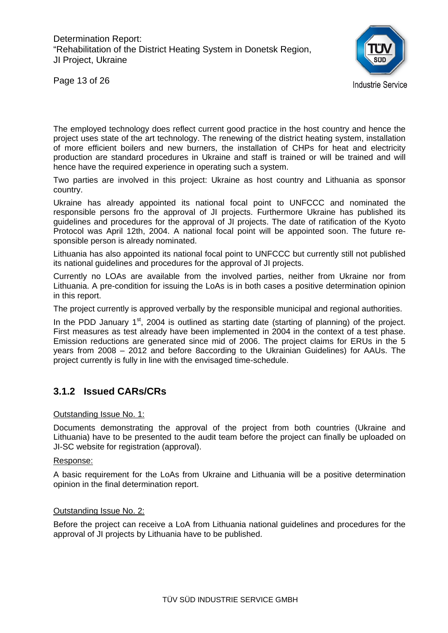

Page 13 of 26

The employed technology does reflect current good practice in the host country and hence the project uses state of the art technology. The renewing of the district heating system, installation of more efficient boilers and new burners, the installation of CHPs for heat and electricity production are standard procedures in Ukraine and staff is trained or will be trained and will hence have the required experience in operating such a system.

Two parties are involved in this project: Ukraine as host country and Lithuania as sponsor country.

Ukraine has already appointed its national focal point to UNFCCC and nominated the responsible persons fro the approval of JI projects. Furthermore Ukraine has published its guidelines and procedures for the approval of JI projects. The date of ratification of the Kyoto Protocol was April 12th, 2004. A national focal point will be appointed soon. The future responsible person is already nominated.

Lithuania has also appointed its national focal point to UNFCCC but currently still not published its national guidelines and procedures for the approval of JI projects.

Currently no LOAs are available from the involved parties, neither from Ukraine nor from Lithuania. A pre-condition for issuing the LoAs is in both cases a positive determination opinion in this report.

The project currently is approved verbally by the responsible municipal and regional authorities.

In the PDD January  $1<sup>st</sup>$ , 2004 is outlined as starting date (starting of planning) of the project. First measures as test already have been implemented in 2004 in the context of a test phase. Emission reductions are generated since mid of 2006. The project claims for ERUs in the 5 years from 2008 – 2012 and before 8according to the Ukrainian Guidelines) for AAUs. The project currently is fully in line with the envisaged time-schedule.

## **3.1.2 Issued CARs/CRs**

#### Outstanding Issue No. 1:

Documents demonstrating the approval of the project from both countries (Ukraine and Lithuania) have to be presented to the audit team before the project can finally be uploaded on JI-SC website for registration (approval).

#### Response:

A basic requirement for the LoAs from Ukraine and Lithuania will be a positive determination opinion in the final determination report.

#### Outstanding Issue No. 2:

Before the project can receive a LoA from Lithuania national guidelines and procedures for the approval of JI projects by Lithuania have to be published.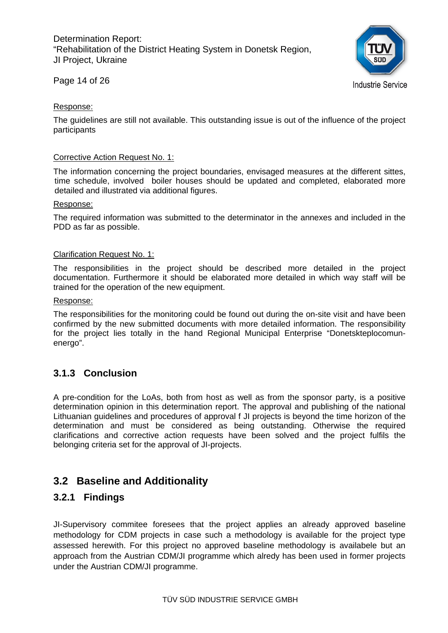

Page 14 of 26

#### Response:

The guidelines are still not available. This outstanding issue is out of the influence of the project participants

#### Corrective Action Request No. 1:

The information concerning the project boundaries, envisaged measures at the different sittes, time schedule, involved boiler houses should be updated and completed, elaborated more detailed and illustrated via additional figures.

#### Response:

The required information was submitted to the determinator in the annexes and included in the PDD as far as possible.

#### Clarification Request No. 1:

The responsibilities in the project should be described more detailed in the project documentation. Furthermore it should be elaborated more detailed in which way staff will be trained for the operation of the new equipment.

#### Response:

The responsibilities for the monitoring could be found out during the on-site visit and have been confirmed by the new submitted documents with more detailed information. The responsibility for the project lies totally in the hand Regional Municipal Enterprise "Donetskteplocomunenergo".

## **3.1.3 Conclusion**

A pre-condition for the LoAs, both from host as well as from the sponsor party, is a positive determination opinion in this determination report. The approval and publishing of the national Lithuanian guidelines and procedures of approval f JI projects is beyond the time horizon of the determination and must be considered as being outstanding. Otherwise the required clarifications and corrective action requests have been solved and the project fulfils the belonging criteria set for the approval of JI-projects.

## **3.2 Baseline and Additionality**

#### **3.2.1 Findings**

JI-Supervisory commitee foresees that the project applies an already approved baseline methodology for CDM projects in case such a methodology is available for the project type assessed herewith. For this project no approved baseline methodology is availabele but an approach from the Austrian CDM/JI programme which alredy has been used in former projects under the Austrian CDM/JI programme.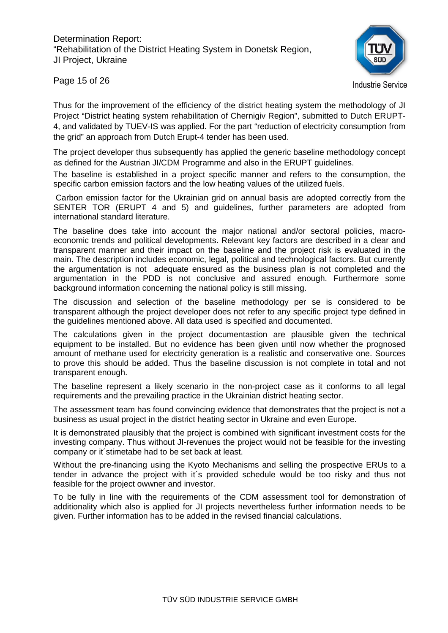

**Industrie Service** 

Page 15 of 26

Thus for the improvement of the efficiency of the district heating system the methodology of JI Project "District heating system rehabilitation of Chernigiv Region", submitted to Dutch ERUPT-4, and validated by TUEV-IS was applied. For the part "reduction of electricity consumption from the grid" an approach from Dutch Erupt-4 tender has been used.

The project developer thus subsequently has applied the generic baseline methodology concept as defined for the Austrian JI/CDM Programme and also in the ERUPT guidelines.

The baseline is established in a project specific manner and refers to the consumption, the specific carbon emission factors and the low heating values of the utilized fuels.

 Carbon emission factor for the Ukrainian grid on annual basis are adopted correctly from the SENTER TOR (ERUPT 4 and 5) and guidelines, further parameters are adopted from international standard literature.

The baseline does take into account the major national and/or sectoral policies, macroeconomic trends and political developments. Relevant key factors are described in a clear and transparent manner and their impact on the baseline and the project risk is evaluated in the main. The description includes economic, legal, political and technological factors. But currently the argumentation is not adequate ensured as the business plan is not completed and the argumentation in the PDD is not conclusive and assured enough. Furthermore some background information concerning the national policy is still missing.

The discussion and selection of the baseline methodology per se is considered to be transparent although the project developer does not refer to any specific project type defined in the guidelines mentioned above. All data used is specified and documented.

The calculations given in the project documentastion are plausible given the technical equipment to be installed. But no evidence has been given until now whether the prognosed amount of methane used for electricity generation is a realistic and conservative one. Sources to prove this should be added. Thus the baseline discussion is not complete in total and not transparent enough.

The baseline represent a likely scenario in the non-project case as it conforms to all legal requirements and the prevailing practice in the Ukrainian district heating sector.

The assessment team has found convincing evidence that demonstrates that the project is not a business as usual project in the district heating sector in Ukraine and even Europe.

It is demonstrated plausibly that the project is combined with significant investment costs for the investing company. Thus without JI-revenues the project would not be feasible for the investing company or it´stimetabe had to be set back at least.

Without the pre-financing using the Kyoto Mechanisms and selling the prospective ERUs to a tender in advance the project with it´s provided schedule would be too risky and thus not feasible for the project owwner and investor.

To be fully in line with the requirements of the CDM assessment tool for demonstration of additionality which also is applied for JI projects nevertheless further information needs to be given. Further information has to be added in the revised financial calculations.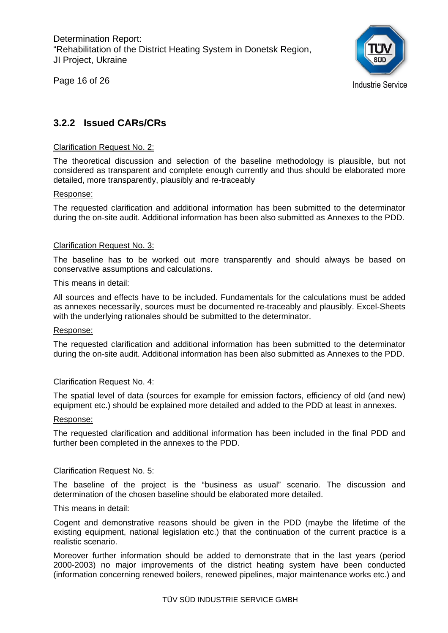Page 16 of 26



## **3.2.2 Issued CARs/CRs**

#### Clarification Request No. 2:

The theoretical discussion and selection of the baseline methodology is plausible, but not considered as transparent and complete enough currently and thus should be elaborated more detailed, more transparently, plausibly and re-traceably

#### Response:

The requested clarification and additional information has been submitted to the determinator during the on-site audit. Additional information has been also submitted as Annexes to the PDD.

#### Clarification Request No. 3:

The baseline has to be worked out more transparently and should always be based on conservative assumptions and calculations.

#### This means in detail:

All sources and effects have to be included. Fundamentals for the calculations must be added as annexes necessarily, sources must be documented re-traceably and plausibly. Excel-Sheets with the underlying rationales should be submitted to the determinator.

#### Response:

The requested clarification and additional information has been submitted to the determinator during the on-site audit. Additional information has been also submitted as Annexes to the PDD.

#### Clarification Request No. 4:

The spatial level of data (sources for example for emission factors, efficiency of old (and new) equipment etc.) should be explained more detailed and added to the PDD at least in annexes.

#### Response:

The requested clarification and additional information has been included in the final PDD and further been completed in the annexes to the PDD.

#### Clarification Request No. 5:

The baseline of the project is the "business as usual" scenario. The discussion and determination of the chosen baseline should be elaborated more detailed.

#### This means in detail:

Cogent and demonstrative reasons should be given in the PDD (maybe the lifetime of the existing equipment, national legislation etc.) that the continuation of the current practice is a realistic scenario.

Moreover further information should be added to demonstrate that in the last years (period 2000-2003) no major improvements of the district heating system have been conducted (information concerning renewed boilers, renewed pipelines, major maintenance works etc.) and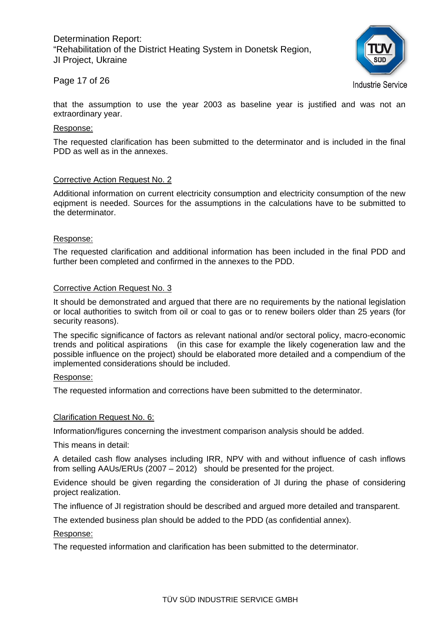

#### Page 17 of 26

**Industrie Service** 

that the assumption to use the year 2003 as baseline year is justified and was not an extraordinary year.

#### Response:

The requested clarification has been submitted to the determinator and is included in the final PDD as well as in the annexes.

#### Corrective Action Request No. 2

Additional information on current electricity consumption and electricity consumption of the new eqipment is needed. Sources for the assumptions in the calculations have to be submitted to the determinator.

#### Response:

The requested clarification and additional information has been included in the final PDD and further been completed and confirmed in the annexes to the PDD.

#### Corrective Action Request No. 3

It should be demonstrated and argued that there are no requirements by the national legislation or local authorities to switch from oil or coal to gas or to renew boilers older than 25 years (for security reasons).

The specific significance of factors as relevant national and/or sectoral policy, macro-economic trends and political aspirations (in this case for example the likely cogeneration law and the possible influence on the project) should be elaborated more detailed and a compendium of the implemented considerations should be included.

#### Response:

The requested information and corrections have been submitted to the determinator.

#### Clarification Request No. 6:

Information/figures concerning the investment comparison analysis should be added.

This means in detail:

A detailed cash flow analyses including IRR, NPV with and without influence of cash inflows from selling AAUs/ERUs (2007 – 2012) should be presented for the project.

Evidence should be given regarding the consideration of JI during the phase of considering project realization.

The influence of JI registration should be described and argued more detailed and transparent.

The extended business plan should be added to the PDD (as confidential annex).

Response:

The requested information and clarification has been submitted to the determinator.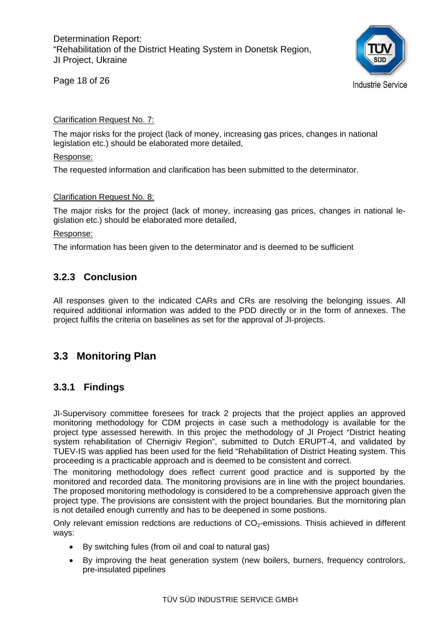Page 18 of 26



#### Clarification Request No. 7:

The major risks for the project (lack of money, increasing gas prices, changes in national legislation etc.) should be elaborated more detailed,

#### Response:

The requested information and clarification has been submitted to the determinator.

#### Clarification Request No. 8:

The major risks for the project (lack of money, increasing gas prices, changes in national legislation etc.) should be elaborated more detailed,

#### Response:

The information has been given to the determinator and is deemed to be sufficient

## **3.2.3 Conclusion**

All responses given to the indicated CARs and CRs are resolving the belonging issues. All required additional information was added to the PDD directly or in the form of annexes. The project fulfils the criteria on baselines as set for the approval of JI-projects.

## **3.3 Monitoring Plan**

## **3.3.1 Findings**

JI-Supervisory committee foresees for track 2 projects that the project applies an approved monitoring methodology for CDM projects in case such a methodology is available for the project type assessed herewith. In this projec the methodology of JI Project "District heating system rehabilitation of Chernigiv Region", submitted to Dutch ERUPT-4, and validated by TUEV-IS was applied has been used for the field "Rehabilitation of District Heating system. This proceeding is a practicable approach and is deemed to be consistent and correct.

The monitoring methodology does reflect current good practice and is supported by the monitored and recorded data. The monitoring provisions are in line with the project boundaries. The proposed monitoring methodology is considered to be a comprehensive approach given the project type. The provisions are consistent with the project boundaries. But the mornitoring plan is not detailed enough currently and has to be deepened in some postions.

Only relevant emission redctions are reductions of  $CO<sub>2</sub>$ -emissions. Thisis achieved in different ways:

- By switching fules (from oil and coal to natural gas)
- By improving the heat generation system (new boilers, burners, frequency controlors, pre-insulated pipelines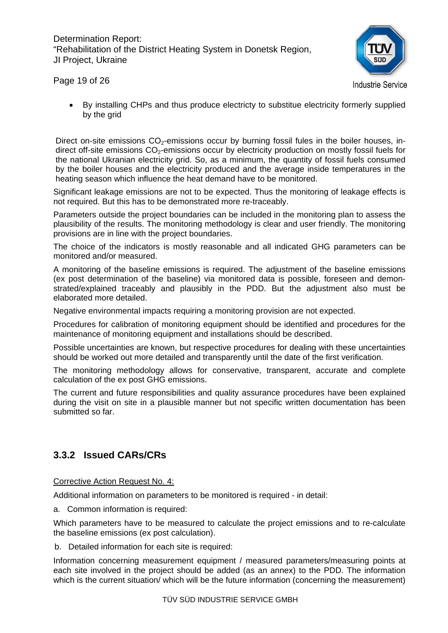

Page 19 of 26

• By installing CHPs and thus produce electricty to substitue electricity formerly supplied by the grid

Direct on-site emissions  $CO<sub>2</sub>$ -emissions occur by burning fossil fules in the boiler houses, indirect off-site emissions  $CO<sub>2</sub>$ -emissions occur by electricity production on mostly fossil fuels for the national Ukranian electricity grid. So, as a minimum, the quantity of fossil fuels consumed by the boiler houses and the electricity produced and the average inside temperatures in the heating season which influence the heat demand have to be monitored.

Significant leakage emissions are not to be expected. Thus the monitoring of leakage effects is not required. But this has to be demonstrated more re-traceably.

Parameters outside the project boundaries can be included in the monitoring plan to assess the plausibility of the results. The monitoring methodology is clear and user friendly. The monitoring provisions are in line with the project boundaries.

The choice of the indicators is mostly reasonable and all indicated GHG parameters can be monitored and/or measured.

A monitoring of the baseline emissions is required. The adjustment of the baseline emissions (ex post determination of the baseline) via monitored data is possible, foreseen and demonstrated/explained traceably and plausibly in the PDD. But the adjustment also must be elaborated more detailed.

Negative environmental impacts requiring a monitoring provision are not expected.

Procedures for calibration of monitoring equipment should be identified and procedures for the maintenance of monitoring equipment and installations should be described.

Possible uncertainties are known, but respective procedures for dealing with these uncertainties should be worked out more detailed and transparently until the date of the first verification.

The monitoring methodology allows for conservative, transparent, accurate and complete calculation of the ex post GHG emissions.

The current and future responsibilities and quality assurance procedures have been explained during the visit on site in a plausible manner but not specific written documentation has been submitted so far.

## **3.3.2 Issued CARs/CRs**

Corrective Action Request No. 4:

Additional information on parameters to be monitored is required - in detail:

a. Common information is required:

Which parameters have to be measured to calculate the project emissions and to re-calculate the baseline emissions (ex post calculation).

b. Detailed information for each site is required:

Information concerning measurement equipment / measured parameters/measuring points at each site involved in the project should be added (as an annex) to the PDD. The information which is the current situation/ which will be the future information (concerning the measurement)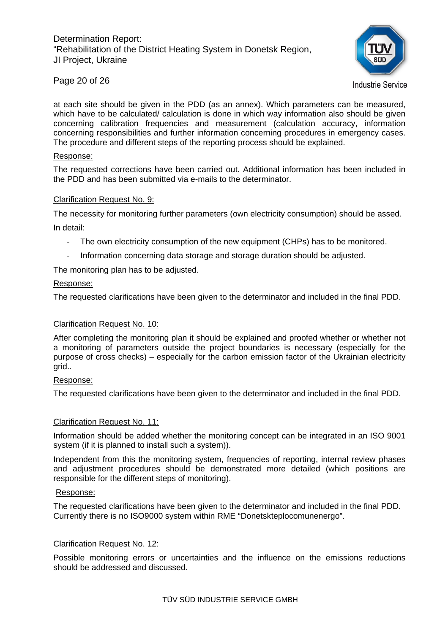

**Industrie Service** 

at each site should be given in the PDD (as an annex). Which parameters can be measured, which have to be calculated/ calculation is done in which way information also should be given concerning calibration frequencies and measurement (calculation accuracy, information concerning responsibilities and further information concerning procedures in emergency cases. The procedure and different steps of the reporting process should be explained.

#### Response:

Page 20 of 26

The requested corrections have been carried out. Additional information has been included in the PDD and has been submitted via e-mails to the determinator.

#### Clarification Request No. 9:

The necessity for monitoring further parameters (own electricity consumption) should be assed. In detail:

- The own electricity consumption of the new equipment (CHPs) has to be monitored.
- Information concerning data storage and storage duration should be adjusted.

The monitoring plan has to be adjusted.

#### Response:

The requested clarifications have been given to the determinator and included in the final PDD.

#### Clarification Request No. 10:

After completing the monitoring plan it should be explained and proofed whether or whether not a monitoring of parameters outside the project boundaries is necessary (especially for the purpose of cross checks) – especially for the carbon emission factor of the Ukrainian electricity grid..

#### Response:

The requested clarifications have been given to the determinator and included in the final PDD.

#### Clarification Request No. 11:

Information should be added whether the monitoring concept can be integrated in an ISO 9001 system (if it is planned to install such a system)).

Independent from this the monitoring system, frequencies of reporting, internal review phases and adjustment procedures should be demonstrated more detailed (which positions are responsible for the different steps of monitoring).

#### Response:

The requested clarifications have been given to the determinator and included in the final PDD. Currently there is no ISO9000 system within RME "Donetskteplocomunenergo".

#### Clarification Request No. 12:

Possible monitoring errors or uncertainties and the influence on the emissions reductions should be addressed and discussed.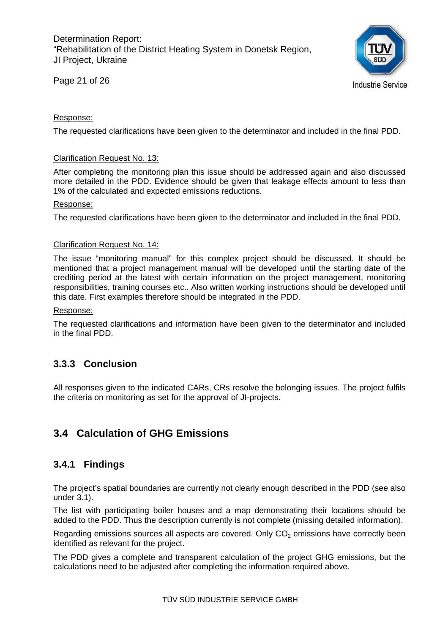Page 21 of 26



#### Response:

The requested clarifications have been given to the determinator and included in the final PDD.

#### Clarification Request No. 13:

After completing the monitoring plan this issue should be addressed again and also discussed more detailed in the PDD. Evidence should be given that leakage effects amount to less than 1% of the calculated and expected emissions reductions.

#### Response:

The requested clarifications have been given to the determinator and included in the final PDD.

#### Clarification Request No. 14:

The issue "monitoring manual" for this complex project should be discussed. It should be mentioned that a project management manual will be developed until the starting date of the crediting period at the latest with certain information on the project management, monitoring responsibilities, training courses etc.. Also written working instructions should be developed until this date. First examples therefore should be integrated in the PDD.

#### Response:

The requested clarifications and information have been given to the determinator and included in the final PDD.

## **3.3.3 Conclusion**

All responses given to the indicated CARs, CRs resolve the belonging issues. The project fulfils the criteria on monitoring as set for the approval of JI-projects.

## **3.4 Calculation of GHG Emissions**

## **3.4.1 Findings**

The project's spatial boundaries are currently not clearly enough described in the PDD (see also under 3.1).

The list with participating boiler houses and a map demonstrating their locations should be added to the PDD. Thus the description currently is not complete (missing detailed information).

Regarding emissions sources all aspects are covered. Only  $CO<sub>2</sub>$  emissions have correctly been identified as relevant for the project.

The PDD gives a complete and transparent calculation of the project GHG emissions, but the calculations need to be adjusted after completing the information required above.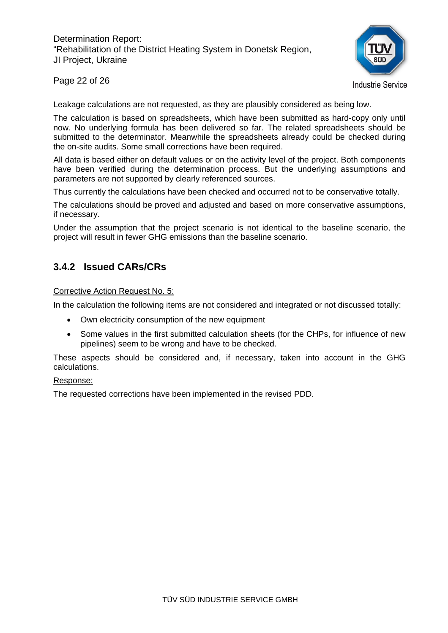

Page 22 of 26

**Industrie Service** 

Leakage calculations are not requested, as they are plausibly considered as being low.

The calculation is based on spreadsheets, which have been submitted as hard-copy only until now. No underlying formula has been delivered so far. The related spreadsheets should be submitted to the determinator. Meanwhile the spreadsheets already could be checked during the on-site audits. Some small corrections have been required.

All data is based either on default values or on the activity level of the project. Both components have been verified during the determination process. But the underlying assumptions and parameters are not supported by clearly referenced sources.

Thus currently the calculations have been checked and occurred not to be conservative totally.

The calculations should be proved and adjusted and based on more conservative assumptions, if necessary.

Under the assumption that the project scenario is not identical to the baseline scenario, the project will result in fewer GHG emissions than the baseline scenario.

## **3.4.2 Issued CARs/CRs**

Corrective Action Request No. 5:

In the calculation the following items are not considered and integrated or not discussed totally:

- Own electricity consumption of the new equipment
- Some values in the first submitted calculation sheets (for the CHPs, for influence of new pipelines) seem to be wrong and have to be checked.

These aspects should be considered and, if necessary, taken into account in the GHG calculations.

#### Response:

The requested corrections have been implemented in the revised PDD.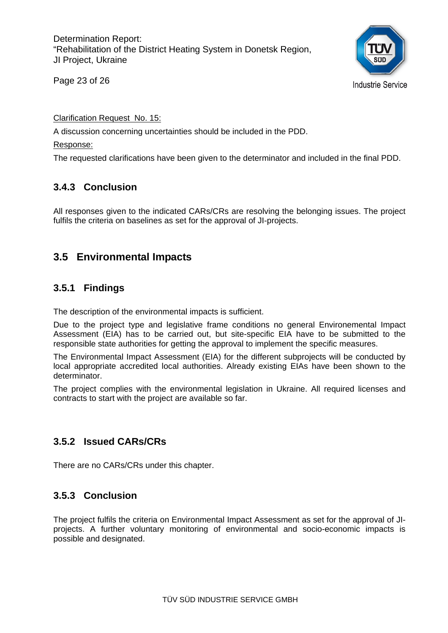Page 23 of 26

**Industrie Service** 

Clarification Request No. 15:

A discussion concerning uncertainties should be included in the PDD.

#### Response:

The requested clarifications have been given to the determinator and included in the final PDD.

## **3.4.3 Conclusion**

All responses given to the indicated CARs/CRs are resolving the belonging issues. The project fulfils the criteria on baselines as set for the approval of JI-projects.

## **3.5 Environmental Impacts**

## **3.5.1 Findings**

The description of the environmental impacts is sufficient.

Due to the project type and legislative frame conditions no general Environemental Impact Assessment (EIA) has to be carried out, but site-specific EIA have to be submitted to the responsible state authorities for getting the approval to implement the specific measures.

The Environmental Impact Assessment (EIA) for the different subprojects will be conducted by local appropriate accredited local authorities. Already existing EIAs have been shown to the determinator.

The project complies with the environmental legislation in Ukraine. All required licenses and contracts to start with the project are available so far.

## **3.5.2 Issued CARs/CRs**

There are no CARs/CRs under this chapter.

## **3.5.3 Conclusion**

The project fulfils the criteria on Environmental Impact Assessment as set for the approval of JIprojects. A further voluntary monitoring of environmental and socio-economic impacts is possible and designated.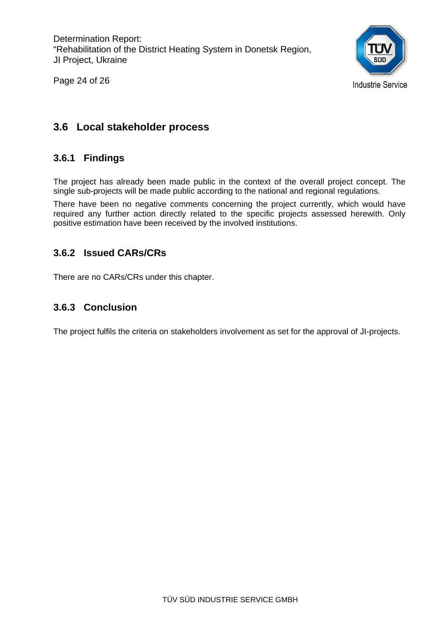



## **3.6 Local stakeholder process**

## **3.6.1 Findings**

The project has already been made public in the context of the overall project concept. The single sub-projects will be made public according to the national and regional regulations.

There have been no negative comments concerning the project currently, which would have required any further action directly related to the specific projects assessed herewith. Only positive estimation have been received by the involved institutions.

## **3.6.2 Issued CARs/CRs**

There are no CARs/CRs under this chapter.

## **3.6.3 Conclusion**

The project fulfils the criteria on stakeholders involvement as set for the approval of JI-projects.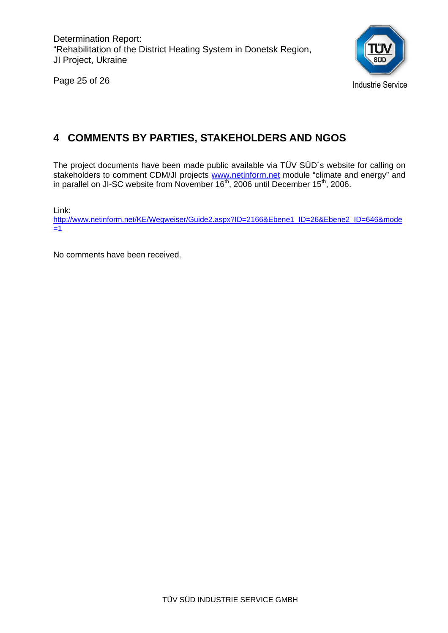Page 25 of 26



## **4 COMMENTS BY PARTIES, STAKEHOLDERS AND NGOS**

The project documents have been made public available via TÜV SÜD´s website for calling on stakeholders to comment CDM/JI projects www.netinform.net module "climate and energy" and in parallel on JI-SC website from November  $16<sup>th</sup>$ , 2006 until December 15<sup>th</sup>, 2006.

Link:

http://www.netinform.net/KE/Wegweiser/Guide2.aspx?ID=2166&Ebene1\_ID=26&Ebene2\_ID=646&mode  $=1$ 

No comments have been received.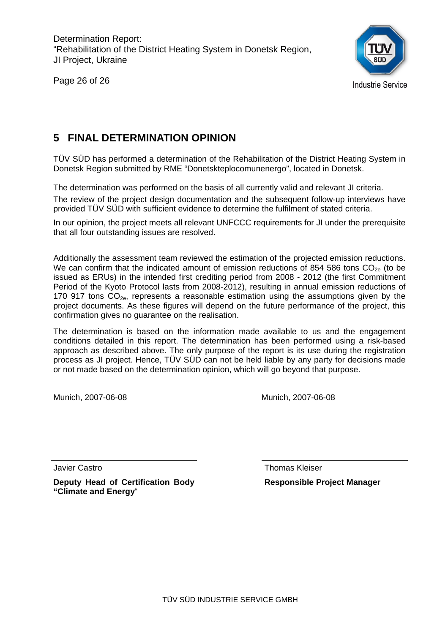Page 26 of 26



## **5 FINAL DETERMINATION OPINION**

TÜV SÜD has performed a determination of the Rehabilitation of the District Heating System in Donetsk Region submitted by RME "Donetskteplocomunenergo", located in Donetsk.

The determination was performed on the basis of all currently valid and relevant JI criteria.

The review of the project design documentation and the subsequent follow-up interviews have provided TÜV SÜD with sufficient evidence to determine the fulfilment of stated criteria.

In our opinion, the project meets all relevant UNFCCC requirements for JI under the prerequisite that all four outstanding issues are resolved.

Additionally the assessment team reviewed the estimation of the projected emission reductions. We can confirm that the indicated amount of emission reductions of 854 586 tons  $CO<sub>2e</sub>$  (to be issued as ERUs) in the intended first crediting period from 2008 - 2012 (the first Commitment Period of the Kyoto Protocol lasts from 2008-2012), resulting in annual emission reductions of 170 917 tons  $CO<sub>2e</sub>$ , represents a reasonable estimation using the assumptions given by the project documents. As these figures will depend on the future performance of the project, this confirmation gives no guarantee on the realisation.

The determination is based on the information made available to us and the engagement conditions detailed in this report. The determination has been performed using a risk-based approach as described above. The only purpose of the report is its use during the registration process as JI project. Hence, TÜV SÜD can not be held liable by any party for decisions made or not made based on the determination opinion, which will go beyond that purpose.

Munich, 2007-06-08 Munich, 2007-06-08

Javier Castro

**Deputy Head of Certification Body "Climate and Energy**"

 Thomas Kleiser **Responsible Project Manager**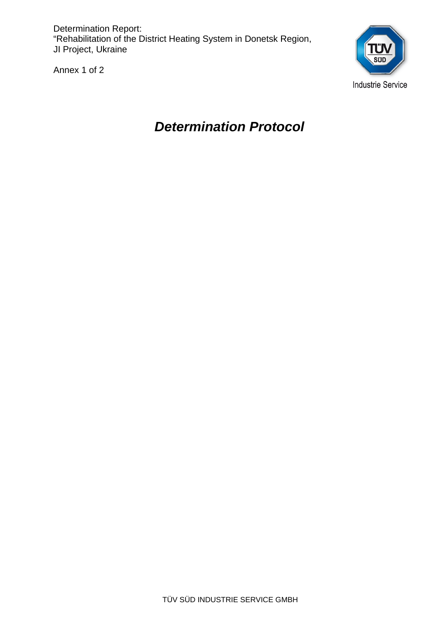Annex 1 of 2



# *Determination Protocol*